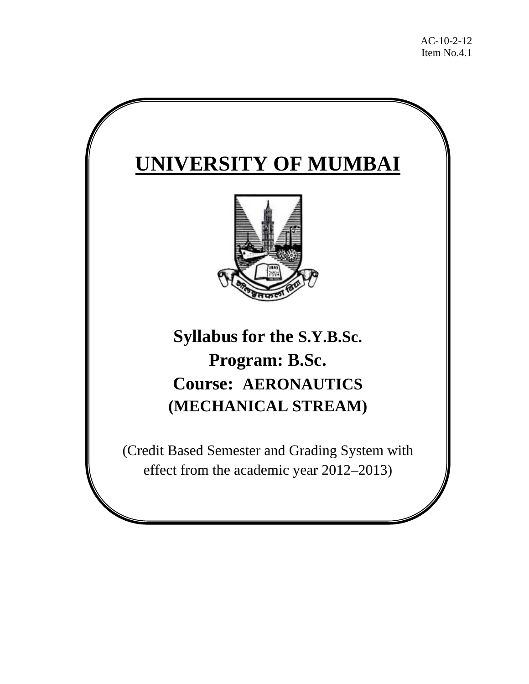# **UNIVERSITY OF MUMBAI**



## **Syllabus for the S.Y.B.Sc. Program: B.Sc. Course: AERONAUTICS (MECHANICAL STREAM)**

(Credit Based Semester and Grading System with effect from the academic year 2012–2013)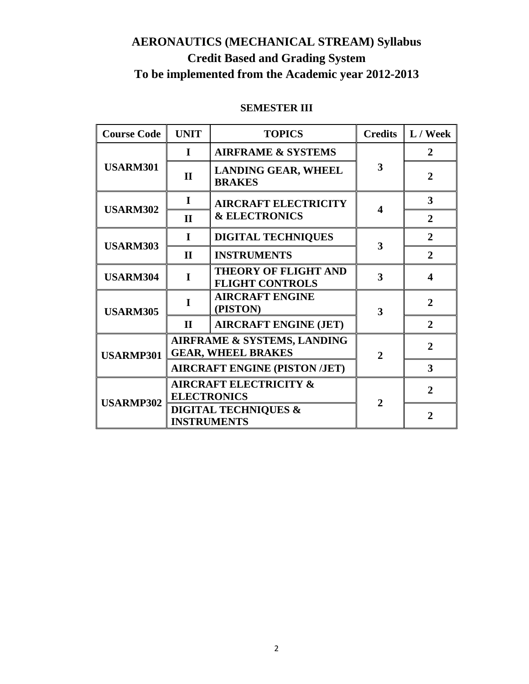### **AERONAUTICS (MECHANICAL STREAM) Syllabus Credit Based and Grading System To be implemented from the Academic year 2012-2013**

| <b>Course Code</b> | <b>UNIT</b>                                                                 | <b>TOPICS</b><br><b>Credits</b>                          |                        | L / Week       |
|--------------------|-----------------------------------------------------------------------------|----------------------------------------------------------|------------------------|----------------|
|                    | $\mathbf I$                                                                 | <b>AIRFRAME &amp; SYSTEMS</b>                            |                        | $\mathbf{2}$   |
| <b>USARM301</b>    | $\mathbf{I}$                                                                | <b>LANDING GEAR, WHEEL</b><br><b>BRAKES</b>              | 3                      | $\overline{2}$ |
|                    | I                                                                           | <b>AIRCRAFT ELECTRICITY</b>                              | $\boldsymbol{\Lambda}$ | 3              |
| <b>USARM302</b>    | $\mathbf{H}$                                                                | <b>&amp; ELECTRONICS</b>                                 |                        | $\overline{2}$ |
|                    | I                                                                           | <b>DIGITAL TECHNIQUES</b>                                | 3                      | $\overline{2}$ |
| <b>USARM303</b>    | $\mathbf{I}$                                                                | <b>INSTRUMENTS</b>                                       |                        | $\overline{2}$ |
| <b>USARM304</b>    | $\mathbf I$                                                                 | <b>THEORY OF FLIGHT AND</b><br><b>FLIGHT CONTROLS</b>    | 3                      | 4              |
| <b>USARM305</b>    | I                                                                           | <b>AIRCRAFT ENGINE</b><br>(PISTON)                       | 3                      | $\overline{2}$ |
|                    | $\mathbf H$                                                                 | <b>AIRCRAFT ENGINE (JET)</b>                             |                        | $\overline{2}$ |
| <b>USARMP301</b>   |                                                                             | AIRFRAME & SYSTEMS, LANDING<br><b>GEAR, WHEEL BRAKES</b> | $\mathbf{2}$           | $\mathbf{2}$   |
|                    |                                                                             | <b>AIRCRAFT ENGINE (PISTON /JET)</b>                     |                        | 3              |
|                    | <b>AIRCRAFT ELECTRICITY &amp;</b>                                           |                                                          |                        | $\overline{2}$ |
| <b>USARMP302</b>   | <b>ELECTRONICS</b><br><b>DIGITAL TECHNIQUES &amp;</b><br><b>INSTRUMENTS</b> |                                                          | $\mathbf{2}$           | $\mathbf{2}$   |

#### **SEMESTER III**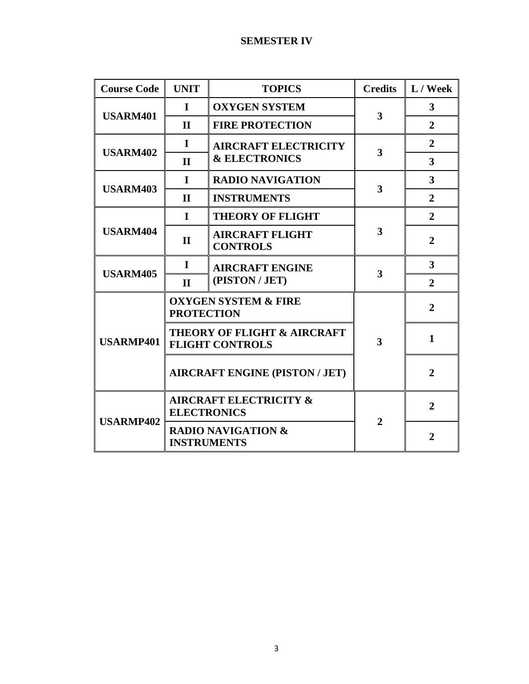#### **SEMESTER IV**

| <b>Course Code</b> | <b>UNIT</b>        | <b>Credits</b><br><b>TOPICS</b>                       |                         | $L /$ Week              |
|--------------------|--------------------|-------------------------------------------------------|-------------------------|-------------------------|
|                    | $\mathbf I$        | <b>OXYGEN SYSTEM</b>                                  |                         | $\mathbf{3}$            |
| <b>USARM401</b>    | $\mathbf{H}$       | <b>FIRE PROTECTION</b>                                | 3                       | $\overline{2}$          |
| <b>USARM402</b>    | $\mathbf I$        | <b>AIRCRAFT ELECTRICITY</b>                           | 3                       | $\overline{2}$          |
|                    | $\mathbf{H}$       | <b>&amp; ELECTRONICS</b>                              |                         | $\overline{\mathbf{3}}$ |
|                    | $\mathbf I$        | <b>RADIO NAVIGATION</b>                               |                         | $\overline{\mathbf{3}}$ |
| <b>USARM403</b>    | $\mathbf{I}$       | <b>INSTRUMENTS</b>                                    | $\overline{\mathbf{3}}$ | $\overline{2}$          |
|                    | $\mathbf I$        | <b>THEORY OF FLIGHT</b>                               |                         | $\overline{2}$          |
| <b>USARM404</b>    | $\mathbf{I}$       | <b>AIRCRAFT FLIGHT</b><br><b>CONTROLS</b>             | 3                       | $\overline{2}$          |
|                    | $\mathbf I$        | <b>AIRCRAFT ENGINE</b><br>3                           |                         | 3                       |
| <b>USARM405</b>    | $\mathbf{I}$       | (PISTON / JET)                                        |                         | $\overline{2}$          |
|                    | <b>PROTECTION</b>  | <b>OXYGEN SYSTEM &amp; FIRE</b>                       |                         | $\overline{2}$          |
| <b>USARMP401</b>   |                    | THEORY OF FLIGHT & AIRCRAFT<br><b>FLIGHT CONTROLS</b> | 3                       | $\mathbf{1}$            |
|                    |                    | <b>AIRCRAFT ENGINE (PISTON / JET)</b>                 |                         | $\overline{2}$          |
|                    | <b>ELECTRONICS</b> | <b>AIRCRAFT ELECTRICITY &amp;</b>                     | $\overline{2}$          | $\overline{2}$          |
| <b>USARMP402</b>   |                    | <b>RADIO NAVIGATION &amp;</b><br><b>INSTRUMENTS</b>   |                         | $\overline{2}$          |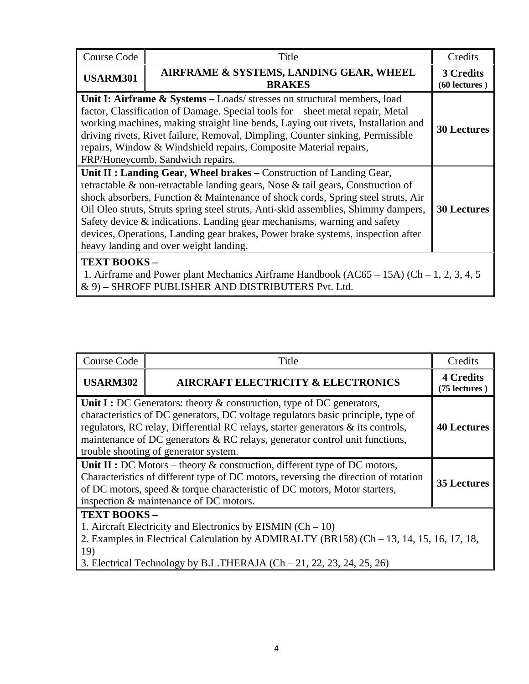| <b>Course Code</b>                                                                                                                                                                                                                                                                                                                                                                                                                                                                                                                                               | Title                                                                                                                                                                                                                                                                                                                                                                                                                                     | Credits                    |  |  |
|------------------------------------------------------------------------------------------------------------------------------------------------------------------------------------------------------------------------------------------------------------------------------------------------------------------------------------------------------------------------------------------------------------------------------------------------------------------------------------------------------------------------------------------------------------------|-------------------------------------------------------------------------------------------------------------------------------------------------------------------------------------------------------------------------------------------------------------------------------------------------------------------------------------------------------------------------------------------------------------------------------------------|----------------------------|--|--|
| <b>USARM301</b>                                                                                                                                                                                                                                                                                                                                                                                                                                                                                                                                                  | AIRFRAME & SYSTEMS, LANDING GEAR, WHEEL<br><b>BRAKES</b>                                                                                                                                                                                                                                                                                                                                                                                  | 3 Credits<br>(60 lectures) |  |  |
|                                                                                                                                                                                                                                                                                                                                                                                                                                                                                                                                                                  | Unit I: Airframe & Systems - Loads/ stresses on structural members, load<br>factor, Classification of Damage. Special tools for sheet metal repair, Metal<br>working machines, making straight line bends, Laying out rivets, Installation and<br>driving rivets, Rivet failure, Removal, Dimpling, Counter sinking, Permissible<br>repairs, Window & Windshield repairs, Composite Material repairs,<br>FRP/Honeycomb, Sandwich repairs. | <b>30 Lectures</b>         |  |  |
| Unit II : Landing Gear, Wheel brakes – Construction of Landing Gear,<br>retractable & non-retractable landing gears, Nose & tail gears, Construction of<br>shock absorbers, Function & Maintenance of shock cords, Spring steel struts, Air<br>Oil Oleo struts, Struts spring steel struts, Anti-skid assemblies, Shimmy dampers,<br><b>30 Lectures</b><br>Safety device & indications. Landing gear mechanisms, warning and safety<br>devices, Operations, Landing gear brakes, Power brake systems, inspection after<br>heavy landing and over weight landing. |                                                                                                                                                                                                                                                                                                                                                                                                                                           |                            |  |  |
| <b>TEXT BOOKS -</b><br>1. Airframe and Power plant Mechanics Airframe Handbook $(AC65 - 15A)$ $(Ch - 1, 2, 3, 4, 5)$<br>& 9) - SHROFF PUBLISHER AND DISTRIBUTERS Pvt. Ltd.                                                                                                                                                                                                                                                                                                                                                                                       |                                                                                                                                                                                                                                                                                                                                                                                                                                           |                            |  |  |

| Course Code                                                                                                                                                                                                                                                                                                                                                              | Title                                         | Credits                             |  |  |  |
|--------------------------------------------------------------------------------------------------------------------------------------------------------------------------------------------------------------------------------------------------------------------------------------------------------------------------------------------------------------------------|-----------------------------------------------|-------------------------------------|--|--|--|
| <b>USARM302</b>                                                                                                                                                                                                                                                                                                                                                          | <b>AIRCRAFT ELECTRICITY &amp; ELECTRONICS</b> | <b>4 Credits</b><br>$(75$ lectures) |  |  |  |
| Unit I : DC Generators: theory $\&$ construction, type of DC generators,<br>characteristics of DC generators, DC voltage regulators basic principle, type of<br>regulators, RC relay, Differential RC relays, starter generators & its controls,<br>maintenance of DC generators & RC relays, generator control unit functions,<br>trouble shooting of generator system. |                                               |                                     |  |  |  |
| Unit II : DC Motors – theory $\&$ construction, different type of DC motors,<br>Characteristics of different type of DC motors, reversing the direction of rotation<br>of DC motors, speed & torque characteristic of DC motors, Motor starters,<br>inspection & maintenance of DC motors.                                                                               |                                               |                                     |  |  |  |
| <b>TEXT BOOKS -</b><br>1. Aircraft Electricity and Electronics by EISMIN $(Ch - 10)$<br>2. Examples in Electrical Calculation by ADMIRALTY (BR158) (Ch – 13, 14, 15, 16, 17, 18,<br>19)<br>3. Electrical Technology by B.L.THERAJA $(Ch-21, 22, 23, 24, 25, 26)$                                                                                                         |                                               |                                     |  |  |  |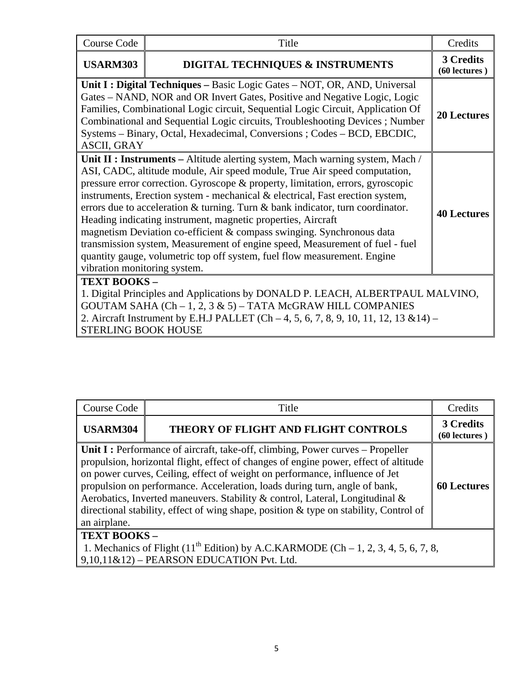| <b>Course Code</b>                                                                                                                                                                                                                                                                                                                                                                                                                                                                                                                                                                                                                                                                                                                                                                | Title                                                                                                                                                                                                                                    | Credits                    |  |
|-----------------------------------------------------------------------------------------------------------------------------------------------------------------------------------------------------------------------------------------------------------------------------------------------------------------------------------------------------------------------------------------------------------------------------------------------------------------------------------------------------------------------------------------------------------------------------------------------------------------------------------------------------------------------------------------------------------------------------------------------------------------------------------|------------------------------------------------------------------------------------------------------------------------------------------------------------------------------------------------------------------------------------------|----------------------------|--|
| <b>USARM303</b>                                                                                                                                                                                                                                                                                                                                                                                                                                                                                                                                                                                                                                                                                                                                                                   | DIGITAL TECHNIQUES & INSTRUMENTS                                                                                                                                                                                                         | 3 Credits<br>(60 lectures) |  |
| Unit I : Digital Techniques - Basic Logic Gates - NOT, OR, AND, Universal<br>Gates – NAND, NOR and OR Invert Gates, Positive and Negative Logic, Logic<br>Families, Combinational Logic circuit, Sequential Logic Circuit, Application Of<br>Combinational and Sequential Logic circuits, Troubleshooting Devices; Number<br>Systems - Binary, Octal, Hexadecimal, Conversions; Codes - BCD, EBCDIC,<br><b>ASCII, GRAY</b>                                                                                                                                                                                                                                                                                                                                                        |                                                                                                                                                                                                                                          |                            |  |
| Unit II : Instruments - Altitude alerting system, Mach warning system, Mach /<br>ASI, CADC, altitude module, Air speed module, True Air speed computation,<br>pressure error correction. Gyroscope & property, limitation, errors, gyroscopic<br>instruments, Erection system - mechanical & electrical, Fast erection system,<br>errors due to acceleration $\&$ turning. Turn $\&$ bank indicator, turn coordinator.<br><b>40 Lectures</b><br>Heading indicating instrument, magnetic properties, Aircraft<br>magnetism Deviation co-efficient & compass swinging. Synchronous data<br>transmission system, Measurement of engine speed, Measurement of fuel - fuel<br>quantity gauge, volumetric top off system, fuel flow measurement. Engine<br>vibration monitoring system. |                                                                                                                                                                                                                                          |                            |  |
| TEXT BOOKS-<br><b>STERLING BOOK HOUSE</b>                                                                                                                                                                                                                                                                                                                                                                                                                                                                                                                                                                                                                                                                                                                                         | 1. Digital Principles and Applications by DONALD P. LEACH, ALBERTPAUL MALVINO,<br>GOUTAM SAHA (Ch - 1, 2, 3 & 5) - TATA McGRAW HILL COMPANIES<br>2. Aircraft Instrument by E.H.J PALLET (Ch $-4$ , 5, 6, 7, 8, 9, 10, 11, 12, 13 & 14) – |                            |  |

| <b>Course Code</b>                                                                                                                                                   | Title                                                                                                                                                                                                                                                                                                                                                                                                                                                                                                        | Credits                         |  |  |
|----------------------------------------------------------------------------------------------------------------------------------------------------------------------|--------------------------------------------------------------------------------------------------------------------------------------------------------------------------------------------------------------------------------------------------------------------------------------------------------------------------------------------------------------------------------------------------------------------------------------------------------------------------------------------------------------|---------------------------------|--|--|
| <b>USARM304</b>                                                                                                                                                      | THEORY OF FLIGHT AND FLIGHT CONTROLS                                                                                                                                                                                                                                                                                                                                                                                                                                                                         | 3 Credits<br>$(60$ lectures $)$ |  |  |
| an airplane.                                                                                                                                                         | Unit I : Performance of aircraft, take-off, climbing, Power curves – Propeller<br>propulsion, horizontal flight, effect of changes of engine power, effect of altitude<br>on power curves, Ceiling, effect of weight on performance, influence of Jet<br>propulsion on performance. Acceleration, loads during turn, angle of bank,<br>Aerobatics, Inverted maneuvers. Stability & control, Lateral, Longitudinal &<br>directional stability, effect of wing shape, position & type on stability, Control of | <b>60 Lectures</b>              |  |  |
| <b>TEXT BOOKS -</b><br>1. Mechanics of Flight (11 <sup>th</sup> Edition) by A.C.KARMODE (Ch – 1, 2, 3, 4, 5, 6, 7, 8,<br>$9,10,11\&12$ – PEARSON EDUCATION Pvt. Ltd. |                                                                                                                                                                                                                                                                                                                                                                                                                                                                                                              |                                 |  |  |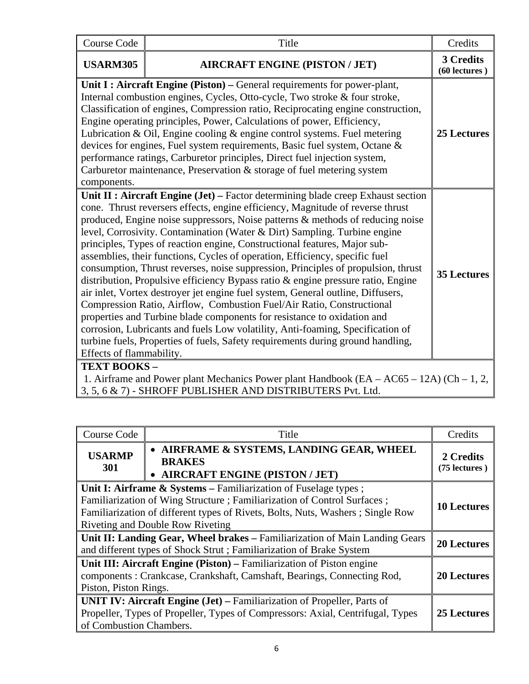| <b>Course Code</b>                                                                                                                                                                    | Title                                                                                                                                                                                                                                                                                                                                                                                                                                                                                                                                                                                                                                                                                                                                                                                                                                                                                                                                                                                                                                                                              | Credits                    |  |
|---------------------------------------------------------------------------------------------------------------------------------------------------------------------------------------|------------------------------------------------------------------------------------------------------------------------------------------------------------------------------------------------------------------------------------------------------------------------------------------------------------------------------------------------------------------------------------------------------------------------------------------------------------------------------------------------------------------------------------------------------------------------------------------------------------------------------------------------------------------------------------------------------------------------------------------------------------------------------------------------------------------------------------------------------------------------------------------------------------------------------------------------------------------------------------------------------------------------------------------------------------------------------------|----------------------------|--|
| <b>USARM305</b>                                                                                                                                                                       | <b>AIRCRAFT ENGINE (PISTON / JET)</b>                                                                                                                                                                                                                                                                                                                                                                                                                                                                                                                                                                                                                                                                                                                                                                                                                                                                                                                                                                                                                                              | 3 Credits<br>(60 lectures) |  |
| components.                                                                                                                                                                           | Unit I : Aircraft Engine (Piston) - General requirements for power-plant,<br>Internal combustion engines, Cycles, Otto-cycle, Two stroke & four stroke,<br>Classification of engines, Compression ratio, Reciprocating engine construction,<br>Engine operating principles, Power, Calculations of power, Efficiency,<br>Lubrication & Oil, Engine cooling $\&$ engine control systems. Fuel metering<br>devices for engines, Fuel system requirements, Basic fuel system, Octane &<br>performance ratings, Carburetor principles, Direct fuel injection system,<br>Carburetor maintenance, Preservation & storage of fuel metering system                                                                                                                                                                                                                                                                                                                                                                                                                                         | <b>25 Lectures</b>         |  |
| Effects of flammability.                                                                                                                                                              | Unit II : Aircraft Engine (Jet) – Factor determining blade creep Exhaust section<br>cone. Thrust reversers effects, engine efficiency, Magnitude of reverse thrust<br>produced, Engine noise suppressors, Noise patterns & methods of reducing noise<br>level, Corrosivity. Contamination (Water & Dirt) Sampling. Turbine engine<br>principles, Types of reaction engine, Constructional features, Major sub-<br>assemblies, their functions, Cycles of operation, Efficiency, specific fuel<br>consumption, Thrust reverses, noise suppression, Principles of propulsion, thrust<br>distribution, Propulsive efficiency Bypass ratio & engine pressure ratio, Engine<br>air inlet, Vortex destroyer jet engine fuel system, General outline, Diffusers,<br>Compression Ratio, Airflow, Combustion Fuel/Air Ratio, Constructional<br>properties and Turbine blade components for resistance to oxidation and<br>corrosion, Lubricants and fuels Low volatility, Anti-foaming, Specification of<br>turbine fuels, Properties of fuels, Safety requirements during ground handling, | <b>35 Lectures</b>         |  |
| <b>TEXT BOOKS-</b><br>1. Airframe and Power plant Mechanics Power plant Handbook $(EA - AC65 - 12A)$ $(Ch - 1, 2, 12A)$<br>3, 5, 6 & 7) - SHROFF PUBLISHER AND DISTRIBUTERS Pvt. Ltd. |                                                                                                                                                                                                                                                                                                                                                                                                                                                                                                                                                                                                                                                                                                                                                                                                                                                                                                                                                                                                                                                                                    |                            |  |

| Course Code                                                                                                                                                                                                                                                                | Title                                                                                                                                                            | Credits                    |
|----------------------------------------------------------------------------------------------------------------------------------------------------------------------------------------------------------------------------------------------------------------------------|------------------------------------------------------------------------------------------------------------------------------------------------------------------|----------------------------|
| <b>USARMP</b><br>301                                                                                                                                                                                                                                                       | • AIRFRAME & SYSTEMS, LANDING GEAR, WHEEL<br><b>BRAKES</b><br>• AIRCRAFT ENGINE (PISTON / JET)                                                                   | 2 Credits<br>(75 lectures) |
| Unit I: Airframe $\&$ Systems – Familiarization of Fuselage types;<br>Familiarization of Wing Structure; Familiarization of Control Surfaces;<br>Familiarization of different types of Rivets, Bolts, Nuts, Washers; Single Row<br><b>Riveting and Double Row Riveting</b> |                                                                                                                                                                  |                            |
| Unit II: Landing Gear, Wheel brakes - Familiarization of Main Landing Gears<br>and different types of Shock Strut; Familiarization of Brake System                                                                                                                         |                                                                                                                                                                  |                            |
| Unit III: Aircraft Engine (Piston) – Familiarization of Piston engine<br>components : Crankcase, Crankshaft, Camshaft, Bearings, Connecting Rod,<br>Piston, Piston Rings.                                                                                                  |                                                                                                                                                                  |                            |
| of Combustion Chambers.                                                                                                                                                                                                                                                    | <b>UNIT IV: Aircraft Engine (Jet)</b> – Familiarization of Propeller, Parts of<br>Propeller, Types of Propeller, Types of Compressors: Axial, Centrifugal, Types | 25 Lectures                |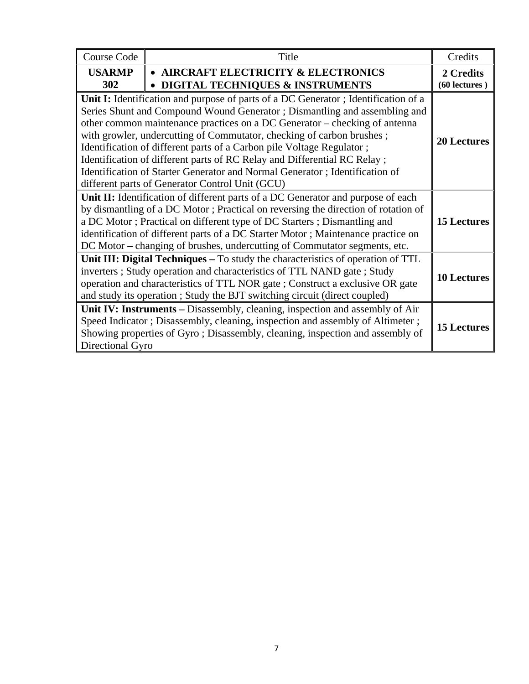| <b>Course Code</b>                                                                                                                                                                                                                                                                                                                                                                                                | Title                                                                                                                                                                                                                                                                                                                                                                                                                                                                                                                                                                                                         | Credits                    |
|-------------------------------------------------------------------------------------------------------------------------------------------------------------------------------------------------------------------------------------------------------------------------------------------------------------------------------------------------------------------------------------------------------------------|---------------------------------------------------------------------------------------------------------------------------------------------------------------------------------------------------------------------------------------------------------------------------------------------------------------------------------------------------------------------------------------------------------------------------------------------------------------------------------------------------------------------------------------------------------------------------------------------------------------|----------------------------|
| <b>USARMP</b><br>302                                                                                                                                                                                                                                                                                                                                                                                              | • AIRCRAFT ELECTRICITY & ELECTRONICS<br><b>DIGITAL TECHNIQUES &amp; INSTRUMENTS</b>                                                                                                                                                                                                                                                                                                                                                                                                                                                                                                                           | 2 Credits<br>(60 lectures) |
|                                                                                                                                                                                                                                                                                                                                                                                                                   | Unit I: Identification and purpose of parts of a DC Generator; Identification of a<br>Series Shunt and Compound Wound Generator; Dismantling and assembling and<br>other common maintenance practices on a DC Generator – checking of antenna<br>with growler, undercutting of Commutator, checking of carbon brushes;<br>Identification of different parts of a Carbon pile Voltage Regulator;<br>Identification of different parts of RC Relay and Differential RC Relay;<br>Identification of Starter Generator and Normal Generator; Identification of<br>different parts of Generator Control Unit (GCU) | <b>20 Lectures</b>         |
| Unit II: Identification of different parts of a DC Generator and purpose of each<br>by dismantling of a DC Motor; Practical on reversing the direction of rotation of<br>a DC Motor; Practical on different type of DC Starters; Dismantling and<br>identification of different parts of a DC Starter Motor; Maintenance practice on<br>DC Motor – changing of brushes, undercutting of Commutator segments, etc. |                                                                                                                                                                                                                                                                                                                                                                                                                                                                                                                                                                                                               |                            |
| Unit III: Digital Techniques – To study the characteristics of operation of TTL<br>inverters; Study operation and characteristics of TTL NAND gate; Study<br>operation and characteristics of TTL NOR gate ; Construct a exclusive OR gate<br>and study its operation ; Study the BJT switching circuit (direct coupled)                                                                                          | <b>10 Lectures</b>                                                                                                                                                                                                                                                                                                                                                                                                                                                                                                                                                                                            |                            |
| Directional Gyro                                                                                                                                                                                                                                                                                                                                                                                                  | Unit IV: Instruments – Disassembly, cleaning, inspection and assembly of Air<br>Speed Indicator; Disassembly, cleaning, inspection and assembly of Altimeter;<br>Showing properties of Gyro; Disassembly, cleaning, inspection and assembly of                                                                                                                                                                                                                                                                                                                                                                | <b>15 Lectures</b>         |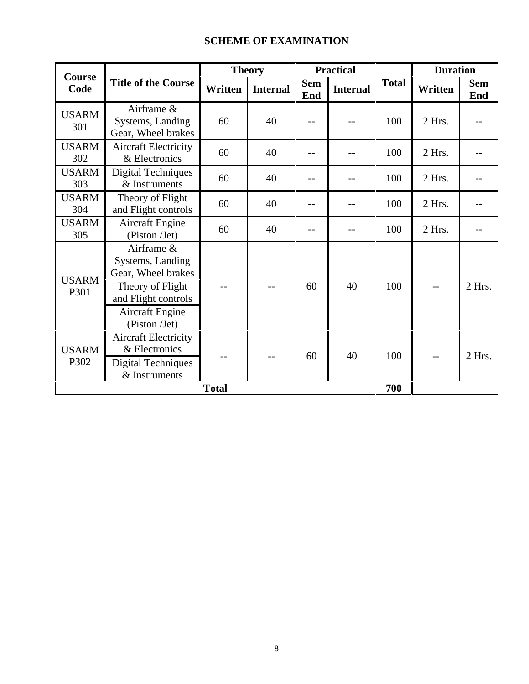#### **SCHEME OF EXAMINATION**

| Course               |                                                                                                                                            |              | <b>Theory</b>   |                   | <b>Practical</b> |              | <b>Duration</b> |                   |
|----------------------|--------------------------------------------------------------------------------------------------------------------------------------------|--------------|-----------------|-------------------|------------------|--------------|-----------------|-------------------|
| Code                 | <b>Title of the Course</b>                                                                                                                 | Written      | <b>Internal</b> | <b>Sem</b><br>End | <b>Internal</b>  | <b>Total</b> | Written         | <b>Sem</b><br>End |
| <b>USARM</b><br>301  | Airframe &<br>Systems, Landing<br>Gear, Wheel brakes                                                                                       | 60           | 40              |                   |                  | 100          | 2 Hrs.          |                   |
| <b>USARM</b><br>302  | <b>Aircraft Electricity</b><br>& Electronics                                                                                               | 60           | 40              | --                |                  | 100          | 2 Hrs.          |                   |
| <b>USARM</b><br>303  | <b>Digital Techniques</b><br>& Instruments                                                                                                 | 60           | 40              |                   |                  | 100          | 2 Hrs.          |                   |
| <b>USARM</b><br>304  | Theory of Flight<br>and Flight controls                                                                                                    | 60           | 40              |                   |                  | 100          | 2 Hrs.          |                   |
| <b>USARM</b><br>305  | <b>Aircraft Engine</b><br>(Piston /Jet)                                                                                                    | 60           | 40              |                   |                  | 100          | 2 Hrs.          |                   |
| <b>USARM</b><br>P301 | Airframe &<br>Systems, Landing<br>Gear, Wheel brakes<br>Theory of Flight<br>and Flight controls<br><b>Aircraft Engine</b><br>(Piston /Jet) |              |                 | 60                | 40               | 100          |                 | $2$ Hrs.          |
| <b>USARM</b><br>P302 | <b>Aircraft Electricity</b><br>& Electronics<br><b>Digital Techniques</b><br>& Instruments                                                 |              |                 | 60                | 40               | 100          |                 | $2$ Hrs.          |
|                      |                                                                                                                                            | <b>Total</b> |                 |                   |                  | 700          |                 |                   |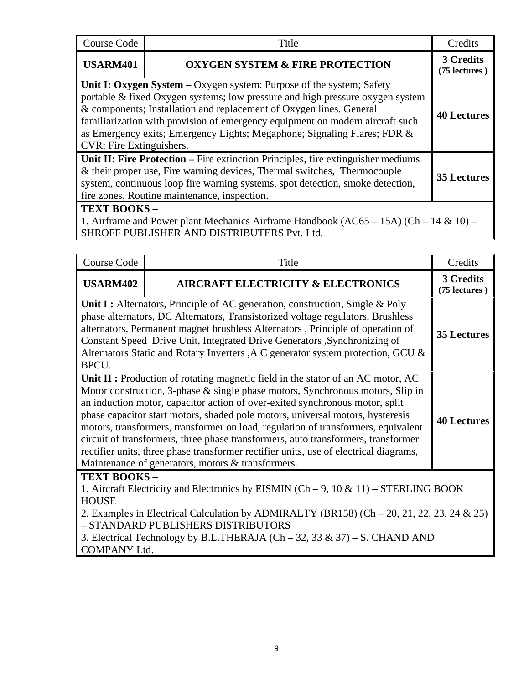| Course Code                                                                                                                                                                                                                                                                                                                                                                                                           | Title                                                                                                                                               | Credits                    |  |  |  |
|-----------------------------------------------------------------------------------------------------------------------------------------------------------------------------------------------------------------------------------------------------------------------------------------------------------------------------------------------------------------------------------------------------------------------|-----------------------------------------------------------------------------------------------------------------------------------------------------|----------------------------|--|--|--|
| <b>USARM401</b>                                                                                                                                                                                                                                                                                                                                                                                                       | <b>OXYGEN SYSTEM &amp; FIRE PROTECTION</b>                                                                                                          | 3 Credits<br>(75 lectures) |  |  |  |
| Unit I: Oxygen System – Oxygen system: Purpose of the system; Safety<br>portable & fixed Oxygen systems; low pressure and high pressure oxygen system<br>& components; Installation and replacement of Oxygen lines. General<br>familiarization with provision of emergency equipment on modern aircraft such<br>as Emergency exits; Emergency Lights; Megaphone; Signaling Flares; FDR &<br>CVR; Fire Extinguishers. |                                                                                                                                                     |                            |  |  |  |
| <b>Unit II: Fire Protection</b> – Fire extinction Principles, fire extinguisher mediums<br>& their proper use, Fire warning devices, Thermal switches, Thermocouple<br><b>35 Lectures</b><br>system, continuous loop fire warning systems, spot detection, smoke detection,<br>fire zones, Routine maintenance, inspection.                                                                                           |                                                                                                                                                     |                            |  |  |  |
|                                                                                                                                                                                                                                                                                                                                                                                                                       | TEXT BOOKS-<br>1. Airframe and Power plant Mechanics Airframe Handbook (AC65 – 15A) (Ch – 14 & 10) –<br>SHROFF PUBLISHER AND DISTRIBUTERS Pvt. Ltd. |                            |  |  |  |

| <b>Course Code</b>                                                                                                                                                                                                                                                                                                                                                                                                                                                                                                                                                                                                                                           | Title                                         | Credits                    |  |
|--------------------------------------------------------------------------------------------------------------------------------------------------------------------------------------------------------------------------------------------------------------------------------------------------------------------------------------------------------------------------------------------------------------------------------------------------------------------------------------------------------------------------------------------------------------------------------------------------------------------------------------------------------------|-----------------------------------------------|----------------------------|--|
| <b>USARM402</b>                                                                                                                                                                                                                                                                                                                                                                                                                                                                                                                                                                                                                                              | <b>AIRCRAFT ELECTRICITY &amp; ELECTRONICS</b> | 3 Credits<br>(75 lectures) |  |
| <b>Unit I</b> : Alternators, Principle of AC generation, construction, Single & Poly<br>phase alternators, DC Alternators, Transistorized voltage regulators, Brushless<br>alternators, Permanent magnet brushless Alternators, Principle of operation of<br>Constant Speed Drive Unit, Integrated Drive Generators , Synchronizing of<br>Alternators Static and Rotary Inverters , A C generator system protection, GCU &<br>BPCU.                                                                                                                                                                                                                          |                                               |                            |  |
| Unit II : Production of rotating magnetic field in the stator of an AC motor, AC<br>Motor construction, 3-phase & single phase motors, Synchronous motors, Slip in<br>an induction motor, capacitor action of over-exited synchronous motor, split<br>phase capacitor start motors, shaded pole motors, universal motors, hysteresis<br>motors, transformers, transformer on load, regulation of transformers, equivalent<br>circuit of transformers, three phase transformers, auto transformers, transformer<br>rectifier units, three phase transformer rectifier units, use of electrical diagrams,<br>Maintenance of generators, motors & transformers. |                                               |                            |  |
| TEXT BOOKS-<br>1. Aircraft Electricity and Electronics by EISMIN (Ch – 9, 10 & 11) – STERLING BOOK<br><b>HOUSE</b><br>2. Examples in Electrical Calculation by ADMIRALTY (BR158) (Ch $-$ 20, 21, 22, 23, 24 & 25)<br>- STANDARD PUBLISHERS DISTRIBUTORS<br>3. Electrical Technology by B.L.THERAJA (Ch – 32, 33 & 37) – S. CHAND AND<br><b>COMPANY Ltd.</b>                                                                                                                                                                                                                                                                                                  |                                               |                            |  |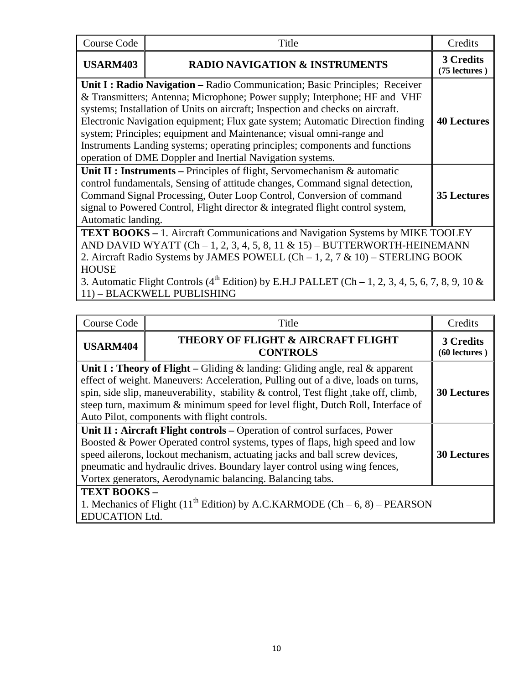| <b>Course Code</b>                                                                                                                                                                                                                                                                                                                                                                                                                                                                                                                              | Title                                                                                                                                                                                                                                                                                                                                                                                            | Credits                    |  |
|-------------------------------------------------------------------------------------------------------------------------------------------------------------------------------------------------------------------------------------------------------------------------------------------------------------------------------------------------------------------------------------------------------------------------------------------------------------------------------------------------------------------------------------------------|--------------------------------------------------------------------------------------------------------------------------------------------------------------------------------------------------------------------------------------------------------------------------------------------------------------------------------------------------------------------------------------------------|----------------------------|--|
| <b>USARM403</b>                                                                                                                                                                                                                                                                                                                                                                                                                                                                                                                                 | <b>RADIO NAVIGATION &amp; INSTRUMENTS</b>                                                                                                                                                                                                                                                                                                                                                        | 3 Credits<br>(75 lectures) |  |
| Unit I: Radio Navigation – Radio Communication; Basic Principles; Receiver<br>& Transmitters; Antenna; Microphone; Power supply; Interphone; HF and VHF<br>systems; Installation of Units on aircraft; Inspection and checks on aircraft.<br>Electronic Navigation equipment; Flux gate system; Automatic Direction finding<br>system; Principles; equipment and Maintenance; visual omni-range and<br>Instruments Landing systems; operating principles; components and functions<br>operation of DME Doppler and Inertial Navigation systems. |                                                                                                                                                                                                                                                                                                                                                                                                  |                            |  |
| Unit II : Instruments – Principles of flight, Servomechanism $\&$ automatic<br>control fundamentals, Sensing of attitude changes, Command signal detection,<br>Command Signal Processing, Outer Loop Control, Conversion of command<br>signal to Powered Control, Flight director & integrated flight control system,<br>Automatic landing.                                                                                                                                                                                                     |                                                                                                                                                                                                                                                                                                                                                                                                  |                            |  |
| <b>HOUSE</b>                                                                                                                                                                                                                                                                                                                                                                                                                                                                                                                                    | <b>TEXT BOOKS - 1. Aircraft Communications and Navigation Systems by MIKE TOOLEY</b><br>AND DAVID WYATT $(Ch-1, 2, 3, 4, 5, 8, 11 \& 15)$ - BUTTERWORTH-HEINEMANN<br>2. Aircraft Radio Systems by JAMES POWELL $(Ch-1, 2, 7 & 10)$ – STERLING BOOK<br>3. Automatic Flight Controls (4 <sup>th</sup> Edition) by E.H.J PALLET (Ch – 1, 2, 3, 4, 5, 6, 7, 8, 9, 10 &<br>11) - BLACKWELL PUBLISHING |                            |  |

| Course Code                                                                                                                                                                                                                                                                                                                                                                                             | Title                                                 | Credits                    |  |  |
|---------------------------------------------------------------------------------------------------------------------------------------------------------------------------------------------------------------------------------------------------------------------------------------------------------------------------------------------------------------------------------------------------------|-------------------------------------------------------|----------------------------|--|--|
| <b>USARM404</b>                                                                                                                                                                                                                                                                                                                                                                                         | THEORY OF FLIGHT & AIRCRAFT FLIGHT<br><b>CONTROLS</b> | 3 Credits<br>(60 lectures) |  |  |
| <b>Unit I: Theory of Flight</b> – Gliding & landing: Gliding angle, real & apparent<br>effect of weight. Maneuvers: Acceleration, Pulling out of a dive, loads on turns,<br>spin, side slip, maneuverability, stability & control, Test flight, take off, climb,<br>steep turn, maximum & minimum speed for level flight, Dutch Roll, Interface of<br>Auto Pilot, components with flight controls.      |                                                       |                            |  |  |
| Unit II : Aircraft Flight controls - Operation of control surfaces, Power<br>Boosted & Power Operated control systems, types of flaps, high speed and low<br>speed ailerons, lockout mechanism, actuating jacks and ball screw devices,<br><b>30 Lectures</b><br>pneumatic and hydraulic drives. Boundary layer control using wing fences,<br>Vortex generators, Aerodynamic balancing. Balancing tabs. |                                                       |                            |  |  |
| <b>TEXT BOOKS -</b><br>1. Mechanics of Flight (11 <sup>th</sup> Edition) by A.C.KARMODE (Ch – 6, 8) – PEARSON<br><b>EDUCATION Ltd.</b>                                                                                                                                                                                                                                                                  |                                                       |                            |  |  |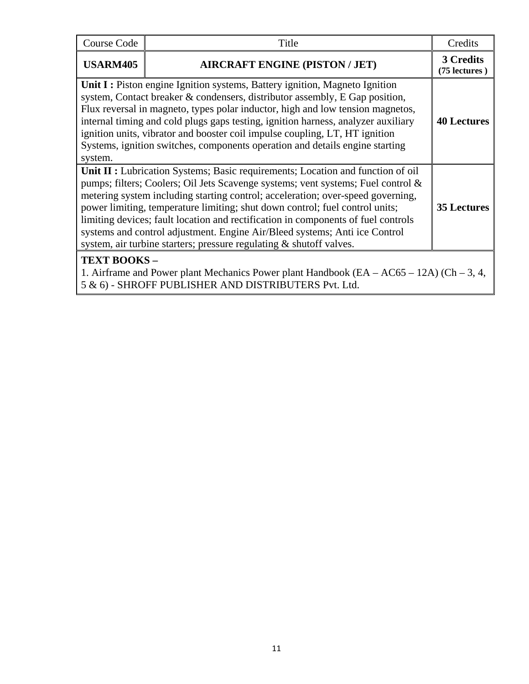| Course Code                                                                                                                                                                                                                                                                                                                                                                                                                                                                                                                                                                                            | Title                                 | Credits                    |  |
|--------------------------------------------------------------------------------------------------------------------------------------------------------------------------------------------------------------------------------------------------------------------------------------------------------------------------------------------------------------------------------------------------------------------------------------------------------------------------------------------------------------------------------------------------------------------------------------------------------|---------------------------------------|----------------------------|--|
| <b>USARM405</b>                                                                                                                                                                                                                                                                                                                                                                                                                                                                                                                                                                                        | <b>AIRCRAFT ENGINE (PISTON / JET)</b> | 3 Credits<br>(75 lectures) |  |
| Unit I: Piston engine Ignition systems, Battery ignition, Magneto Ignition<br>system, Contact breaker & condensers, distributor assembly, E Gap position,<br>Flux reversal in magneto, types polar inductor, high and low tension magnetos,<br>internal timing and cold plugs gaps testing, ignition harness, analyzer auxiliary<br>ignition units, vibrator and booster coil impulse coupling, LT, HT ignition<br>Systems, ignition switches, components operation and details engine starting<br>system.                                                                                             |                                       |                            |  |
| Unit II : Lubrication Systems; Basic requirements; Location and function of oil<br>pumps; filters; Coolers; Oil Jets Scavenge systems; vent systems; Fuel control &<br>metering system including starting control; acceleration; over-speed governing,<br>power limiting, temperature limiting; shut down control; fuel control units;<br><b>35 Lectures</b><br>limiting devices; fault location and rectification in components of fuel controls<br>systems and control adjustment. Engine Air/Bleed systems; Anti ice Control<br>system, air turbine starters; pressure regulating & shutoff valves. |                                       |                            |  |
| <b>TEXT BOOKS-</b><br>1. Airframe and Power plant Mechanics Power plant Handbook $(EA - AC65 - 12A)$ $(Ch - 3, 4,$<br>5 & 6) - SHROFF PUBLISHER AND DISTRIBUTERS Pvt. Ltd.                                                                                                                                                                                                                                                                                                                                                                                                                             |                                       |                            |  |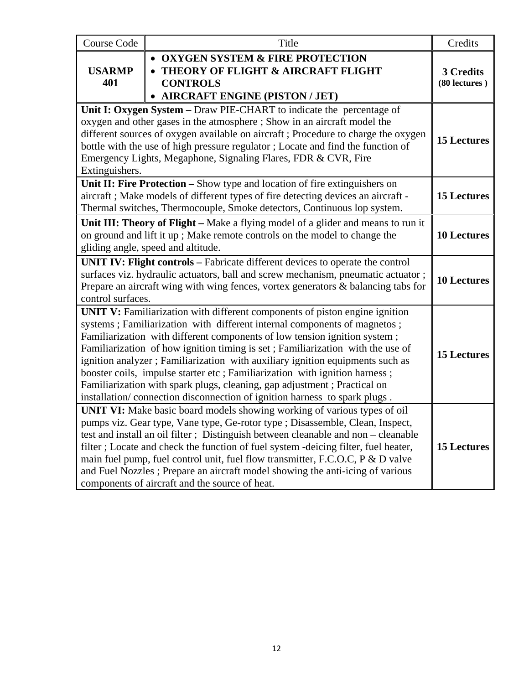| <b>Course Code</b>                                                                                                                                                                                                                                                                                                                                                                                                                                                                                                                                                                                                                              | Title                                                                                                                                        |                            |  |  |  |
|-------------------------------------------------------------------------------------------------------------------------------------------------------------------------------------------------------------------------------------------------------------------------------------------------------------------------------------------------------------------------------------------------------------------------------------------------------------------------------------------------------------------------------------------------------------------------------------------------------------------------------------------------|----------------------------------------------------------------------------------------------------------------------------------------------|----------------------------|--|--|--|
| <b>USARMP</b><br>401                                                                                                                                                                                                                                                                                                                                                                                                                                                                                                                                                                                                                            | <b>OXYGEN SYSTEM &amp; FIRE PROTECTION</b><br>THEORY OF FLIGHT & AIRCRAFT FLIGHT<br><b>CONTROLS</b><br><b>AIRCRAFT ENGINE (PISTON / JET)</b> | 3 Credits<br>(80 lectures) |  |  |  |
| Unit I: Oxygen System – Draw PIE-CHART to indicate the percentage of<br>oxygen and other gases in the atmosphere; Show in an aircraft model the<br>different sources of oxygen available on aircraft; Procedure to charge the oxygen<br>bottle with the use of high pressure regulator; Locate and find the function of<br>Emergency Lights, Megaphone, Signaling Flares, FDR & CVR, Fire<br>Extinguishers.                                                                                                                                                                                                                                     |                                                                                                                                              |                            |  |  |  |
| Unit II: Fire Protection - Show type and location of fire extinguishers on<br>aircraft; Make models of different types of fire detecting devices an aircraft -<br>Thermal switches, Thermocouple, Smoke detectors, Continuous lop system.                                                                                                                                                                                                                                                                                                                                                                                                       |                                                                                                                                              |                            |  |  |  |
| Unit III: Theory of Flight – Make a flying model of a glider and means to run it<br>on ground and lift it up; Make remote controls on the model to change the<br>gliding angle, speed and altitude.                                                                                                                                                                                                                                                                                                                                                                                                                                             |                                                                                                                                              |                            |  |  |  |
| <b>UNIT IV: Flight controls – Fabricate different devices to operate the control</b><br>surfaces viz. hydraulic actuators, ball and screw mechanism, pneumatic actuator;<br>Prepare an aircraft wing with wing fences, vortex generators $\&$ balancing tabs for<br>control surfaces.                                                                                                                                                                                                                                                                                                                                                           |                                                                                                                                              |                            |  |  |  |
| UNIT V: Familiarization with different components of piston engine ignition<br>systems; Familiarization with different internal components of magnetos;<br>Familiarization with different components of low tension ignition system;<br>Familiarization of how ignition timing is set; Familiarization with the use of<br>ignition analyzer; Familiarization with auxiliary ignition equipments such as<br>booster coils, impulse starter etc; Familiarization with ignition harness;<br>Familiarization with spark plugs, cleaning, gap adjustment ; Practical on<br>installation/connection disconnection of ignition harness to spark plugs. |                                                                                                                                              |                            |  |  |  |
| UNIT VI: Make basic board models showing working of various types of oil<br>pumps viz. Gear type, Vane type, Ge-rotor type; Disassemble, Clean, Inspect,<br>test and install an oil filter; Distinguish between cleanable and non - cleanable<br>filter; Locate and check the function of fuel system -deicing filter, fuel heater,<br>main fuel pump, fuel control unit, fuel flow transmitter, F.C.O.C, P & D valve<br>and Fuel Nozzles; Prepare an aircraft model showing the anti-icing of various<br>components of aircraft and the source of heat.                                                                                        |                                                                                                                                              |                            |  |  |  |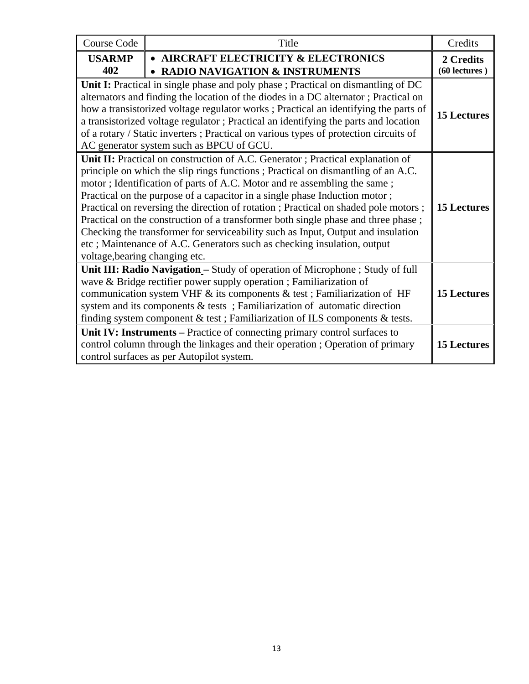| <b>Course Code</b>                                                                                                                                                                                                                                                                                                                                                                                                                                                                                                                                                                                                                                                                                          | Title                                                                             |                            |  |  |
|-------------------------------------------------------------------------------------------------------------------------------------------------------------------------------------------------------------------------------------------------------------------------------------------------------------------------------------------------------------------------------------------------------------------------------------------------------------------------------------------------------------------------------------------------------------------------------------------------------------------------------------------------------------------------------------------------------------|-----------------------------------------------------------------------------------|----------------------------|--|--|
| <b>USARMP</b><br>402                                                                                                                                                                                                                                                                                                                                                                                                                                                                                                                                                                                                                                                                                        | • AIRCRAFT ELECTRICITY & ELECTRONICS<br><b>RADIO NAVIGATION &amp; INSTRUMENTS</b> | 2 Credits<br>(60 lectures) |  |  |
| Unit I: Practical in single phase and poly phase ; Practical on dismantling of DC<br>alternators and finding the location of the diodes in a DC alternator; Practical on<br>how a transistorized voltage regulator works; Practical an identifying the parts of<br>a transistorized voltage regulator; Practical an identifying the parts and location<br>of a rotary / Static inverters; Practical on various types of protection circuits of<br>AC generator system such as BPCU of GCU.                                                                                                                                                                                                                  |                                                                                   |                            |  |  |
| Unit II: Practical on construction of A.C. Generator ; Practical explanation of<br>principle on which the slip rings functions; Practical on dismantling of an A.C.<br>motor; Identification of parts of A.C. Motor and re assembling the same;<br>Practical on the purpose of a capacitor in a single phase Induction motor;<br>Practical on reversing the direction of rotation ; Practical on shaded pole motors ;<br>Practical on the construction of a transformer both single phase and three phase;<br>Checking the transformer for serviceability such as Input, Output and insulation<br>etc; Maintenance of A.C. Generators such as checking insulation, output<br>voltage, bearing changing etc. |                                                                                   |                            |  |  |
| Unit III: Radio Navigation - Study of operation of Microphone ; Study of full<br>wave & Bridge rectifier power supply operation ; Familiarization of<br>communication system VHF & its components & test; Familiarization of HF<br>system and its components & tests; Familiarization of automatic direction<br>finding system component & test ; Familiarization of ILS components & tests.                                                                                                                                                                                                                                                                                                                |                                                                                   |                            |  |  |
| Unit IV: Instruments – Practice of connecting primary control surfaces to<br>control column through the linkages and their operation; Operation of primary<br>control surfaces as per Autopilot system.                                                                                                                                                                                                                                                                                                                                                                                                                                                                                                     |                                                                                   |                            |  |  |